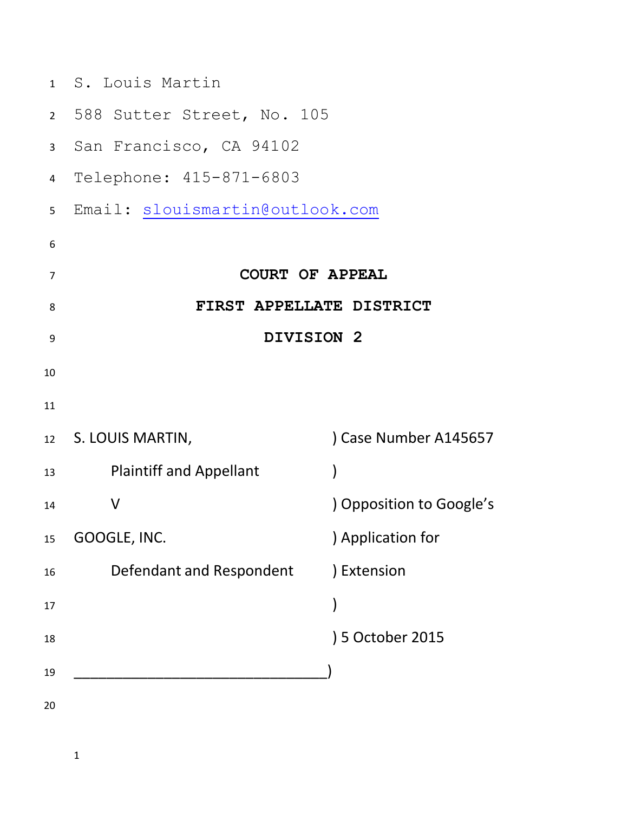|                | 1 S. Louis Martin               |                          |
|----------------|---------------------------------|--------------------------|
|                | 2 588 Sutter Street, No. 105    |                          |
| $\mathbf{3}$   | San Francisco, CA 94102         |                          |
| $\overline{4}$ | Telephone: 415-871-6803         |                          |
| 5              | Email: slouismartin@outlook.com |                          |
| 6              |                                 |                          |
| 7              | <b>COURT OF APPEAL</b>          |                          |
| 8              | FIRST APPELLATE DISTRICT        |                          |
| 9              | DIVISION 2                      |                          |
| 10             |                                 |                          |
| 11             |                                 |                          |
|                | 12 S. LOUIS MARTIN,             | Case Number A145657      |
| 13             | <b>Plaintiff and Appellant</b>  |                          |
| 14             | $\vee$                          | ) Opposition to Google's |
| 15             | GOOGLE, INC.                    | ) Application for        |
| 16             | Defendant and Respondent        | ) Extension              |
| 17             |                                 |                          |
| 18             |                                 | 5 October 2015           |
| 19             |                                 |                          |
| 20             |                                 |                          |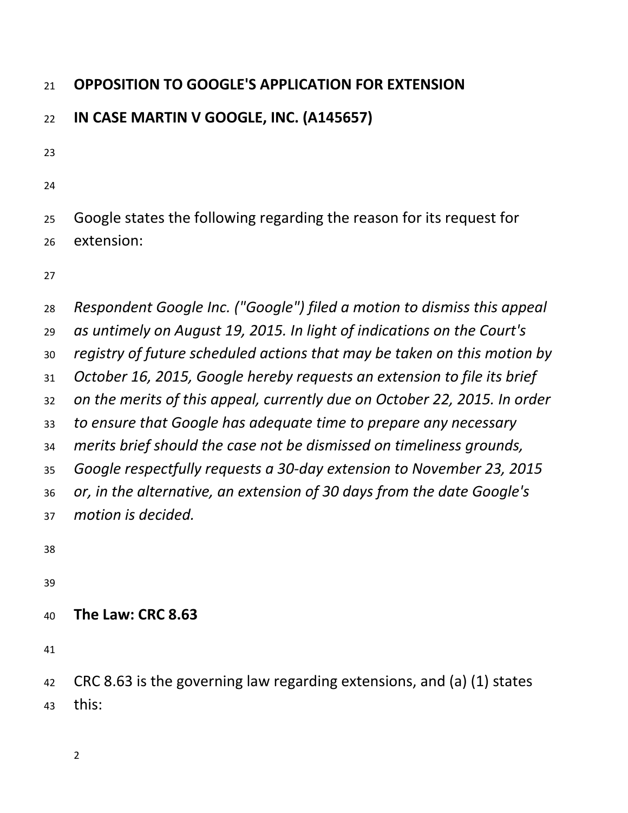## **OPPOSITION TO GOOGLE'S APPLICATION FOR EXTENSION**

## **IN CASE MARTIN V GOOGLE, INC. (A145657)**

 Google states the following regarding the reason for its request for extension:

 *Respondent Google Inc. ("Google") filed a motion to dismiss this appeal as untimely on August 19, 2015. In light of indications on the Court's registry of future scheduled actions that may be taken on this motion by October 16, 2015, Google hereby requests an extension to file its brief on the merits of this appeal, currently due on October 22, 2015. In order to ensure that Google has adequate time to prepare any necessary merits brief should the case not be dismissed on timeliness grounds, Google respectfully requests a 30-day extension to November 23, 2015 or, in the alternative, an extension of 30 days from the date Google's motion is decided.* 

**The Law: CRC 8.63**

 CRC 8.63 is the governing law regarding extensions, and (a) (1) states this: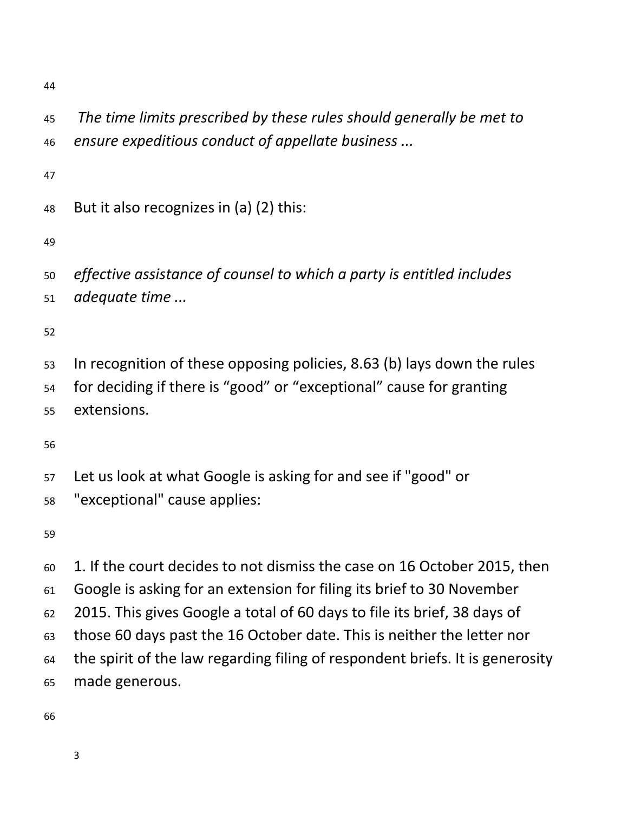*The time limits prescribed by these rules should generally be met to ensure expeditious conduct of appellate business ...*

But it also recognizes in (a) (2) this:

*effective assistance of counsel to which a party is entitled includes* 

*adequate time ...*

 In recognition of these opposing policies, 8.63 (b) lays down the rules for deciding if there is "good" or "exceptional" cause for granting extensions.

- Let us look at what Google is asking for and see if "good" or
- "exceptional" cause applies:

 1. If the court decides to not dismiss the case on 16 October 2015, then Google is asking for an extension for filing its brief to 30 November 2015. This gives Google a total of 60 days to file its brief, 38 days of those 60 days past the 16 October date. This is neither the letter nor the spirit of the law regarding filing of respondent briefs. It is generosity made generous.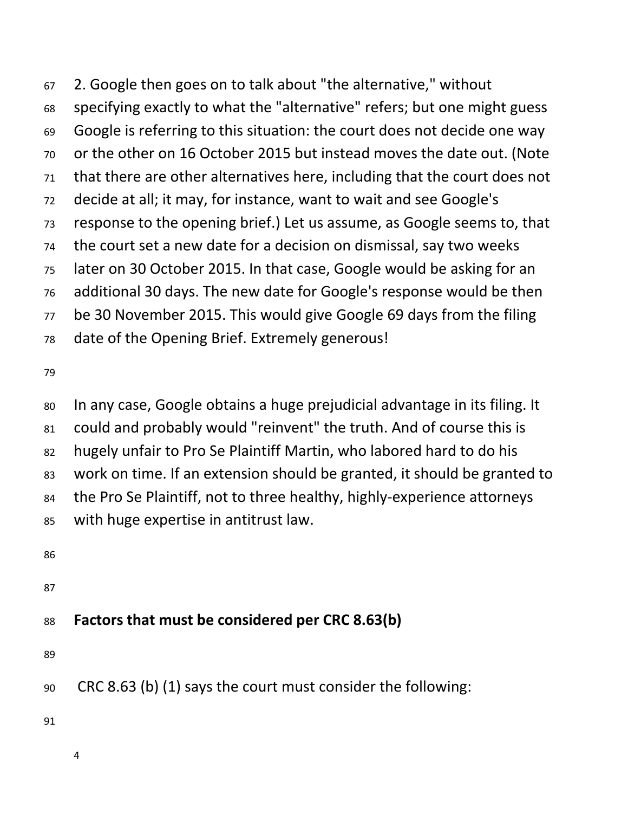2. Google then goes on to talk about "the alternative," without specifying exactly to what the "alternative" refers; but one might guess Google is referring to this situation: the court does not decide one way or the other on 16 October 2015 but instead moves the date out. (Note that there are other alternatives here, including that the court does not decide at all; it may, for instance, want to wait and see Google's response to the opening brief.) Let us assume, as Google seems to, that the court set a new date for a decision on dismissal, say two weeks later on 30 October 2015. In that case, Google would be asking for an additional 30 days. The new date for Google's response would be then be 30 November 2015. This would give Google 69 days from the filing date of the Opening Brief. Extremely generous!

 In any case, Google obtains a huge prejudicial advantage in its filing. It could and probably would "reinvent" the truth. And of course this is hugely unfair to Pro Se Plaintiff Martin, who labored hard to do his work on time. If an extension should be granted, it should be granted to the Pro Se Plaintiff, not to three healthy, highly-experience attorneys with huge expertise in antitrust law.

## **Factors that must be considered per CRC 8.63(b)**

CRC 8.63 (b) (1) says the court must consider the following: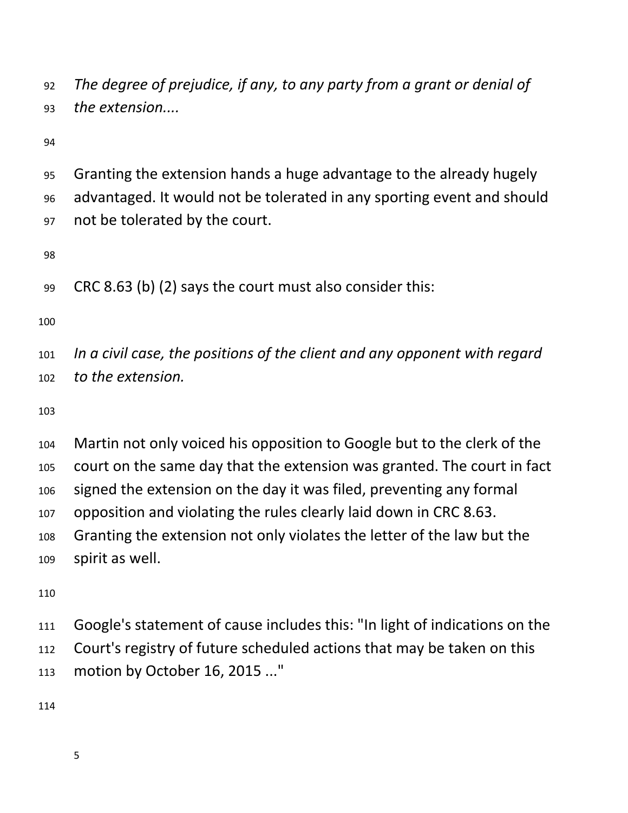*The degree of prejudice, if any, to any party from a grant or denial of the extension....*

 Granting the extension hands a huge advantage to the already hugely advantaged. It would not be tolerated in any sporting event and should not be tolerated by the court.

CRC 8.63 (b) (2) says the court must also consider this:

 *In a civil case, the positions of the client and any opponent with regard to the extension.*

 Martin not only voiced his opposition to Google but to the clerk of the court on the same day that the extension was granted. The court in fact signed the extension on the day it was filed, preventing any formal opposition and violating the rules clearly laid down in CRC 8.63. Granting the extension not only violates the letter of the law but the spirit as well.

 Google's statement of cause includes this: "In light of indications on the Court's registry of future scheduled actions that may be taken on this motion by October 16, 2015 ..."